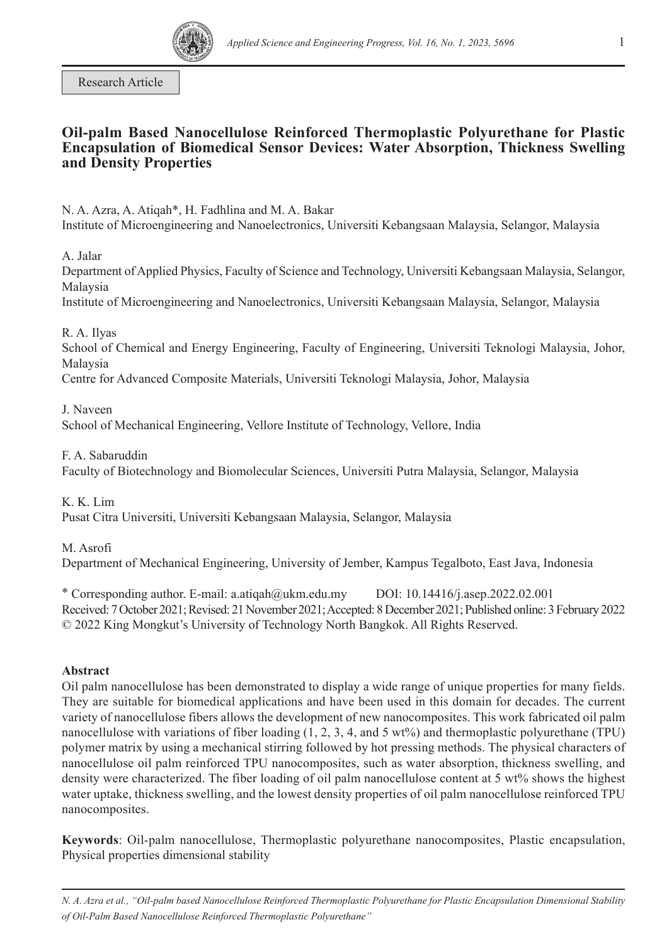

Research Article

# **Oil-palm Based Nanocellulose Reinforced Thermoplastic Polyurethane for Plastic Encapsulation of Biomedical Sensor Devices: Water Absorption, Thickness Swelling and Density Properties**

N. A. Azra, A. Atiqah\*, H. Fadhlina and M. A. Bakar Institute of Microengineering and Nanoelectronics, Universiti Kebangsaan Malaysia, Selangor, Malaysia

A. Jalar

Department of Applied Physics, Faculty of Science and Technology, Universiti Kebangsaan Malaysia, Selangor, Malaysia

Institute of Microengineering and Nanoelectronics, Universiti Kebangsaan Malaysia, Selangor, Malaysia

R. A. Ilyas

School of Chemical and Energy Engineering, Faculty of Engineering, Universiti Teknologi Malaysia, Johor, Malaysia

Centre for Advanced Composite Materials, Universiti Teknologi Malaysia, Johor, Malaysia

J. Naveen

School of Mechanical Engineering, Vellore Institute of Technology, Vellore, India

F. A. Sabaruddin

Faculty of Biotechnology and Biomolecular Sciences, Universiti Putra Malaysia, Selangor, Malaysia

K. K. Lim Pusat Citra Universiti, Universiti Kebangsaan Malaysia, Selangor, Malaysia

M. Asrofi Department of Mechanical Engineering, University of Jember, Kampus Tegalboto, East Java, Indonesia

\* Corresponding author. E-mail: a.atiqah@ukm.edu.my [DOI: 10.14416/j.asep.2022.02.001](http://dx.doi.org/10.14416/j.asep.2022.02.001) Received: 7 October 2021; Revised: 21 November 2021; Accepted: 8 December 2021; Published online: 3 February 2022 © 2022 King Mongkut's University of Technology North Bangkok. All Rights Reserved.

## **Abstract**

Oil palm nanocellulose has been demonstrated to display a wide range of unique properties for many fields. They are suitable for biomedical applications and have been used in this domain for decades. The current variety of nanocellulose fibers allows the development of new nanocomposites. This work fabricated oil palm nanocellulose with variations of fiber loading (1, 2, 3, 4, and 5 wt%) and thermoplastic polyurethane (TPU) polymer matrix by using a mechanical stirring followed by hot pressing methods. The physical characters of nanocellulose oil palm reinforced TPU nanocomposites, such as water absorption, thickness swelling, and density were characterized. The fiber loading of oil palm nanocellulose content at 5 wt% shows the highest water uptake, thickness swelling, and the lowest density properties of oil palm nanocellulose reinforced TPU nanocomposites.

**Keywords**: Oil-palm nanocellulose, Thermoplastic polyurethane nanocomposites, Plastic encapsulation, Physical properties dimensional stability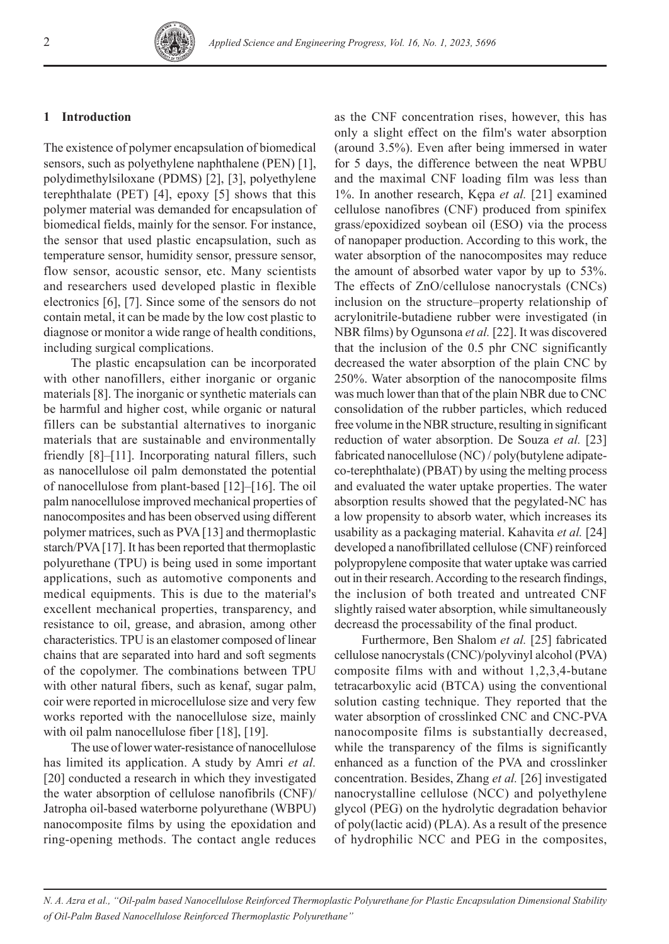#### **1 Introduction**

The existence of polymer encapsulation of biomedical sensors, such as polyethylene naphthalene (PEN) [1], polydimethylsiloxane (PDMS) [2], [3], polyethylene terephthalate (PET) [4], epoxy [5] shows that this polymer material was demanded for encapsulation of biomedical fields, mainly for the sensor. For instance, the sensor that used plastic encapsulation, such as temperature sensor, humidity sensor, pressure sensor, flow sensor, acoustic sensor, etc. Many scientists and researchers used developed plastic in flexible electronics [6], [7]. Since some of the sensors do not contain metal, it can be made by the low cost plastic to diagnose or monitor a wide range of health conditions, including surgical complications.

The plastic encapsulation can be incorporated with other nanofillers, either inorganic or organic materials [8]. The inorganic or synthetic materials can be harmful and higher cost, while organic or natural fillers can be substantial alternatives to inorganic materials that are sustainable and environmentally friendly [8]–[11]. Incorporating natural fillers, such as nanocellulose oil palm demonstated the potential of nanocellulose from plant-based [12]–[16]. The oil palm nanocellulose improved mechanical properties of nanocomposites and has been observed using different polymer matrices, such as PVA [13] and thermoplastic starch/PVA [17]. It has been reported that thermoplastic polyurethane (TPU) is being used in some important applications, such as automotive components and medical equipments. This is due to the material's excellent mechanical properties, transparency, and resistance to oil, grease, and abrasion, among other characteristics. TPU is an elastomer composed of linear chains that are separated into hard and soft segments of the copolymer. The combinations between TPU with other natural fibers, such as kenaf, sugar palm, coir were reported in microcellulose size and very few works reported with the nanocellulose size, mainly with oil palm nanocellulose fiber [18], [19].

The use of lower water-resistance of nanocellulose has limited its application. A study by Amri *et al.* [20] conducted a research in which they investigated the water absorption of cellulose nanofibrils (CNF)/ Jatropha oil-based waterborne polyurethane (WBPU) nanocomposite films by using the epoxidation and ring-opening methods. The contact angle reduces

as the CNF concentration rises, however, this has only a slight effect on the film's water absorption (around 3.5%). Even after being immersed in water for 5 days, the difference between the neat WPBU and the maximal CNF loading film was less than 1%. In another research, Kępa *et al.* [21] examined cellulose nanofibres (CNF) produced from spinifex grass/epoxidized soybean oil (ESO) via the process of nanopaper production. According to this work, the water absorption of the nanocomposites may reduce the amount of absorbed water vapor by up to 53%. The effects of ZnO/cellulose nanocrystals (CNCs) inclusion on the structure–property relationship of acrylonitrile-butadiene rubber were investigated (in NBR films) by Ogunsona *et al.* [22]. It was discovered that the inclusion of the 0.5 phr CNC significantly decreased the water absorption of the plain CNC by 250%. Water absorption of the nanocomposite films was much lower than that of the plain NBR due to CNC consolidation of the rubber particles, which reduced free volume in the NBR structure, resulting in significant reduction of water absorption. De Souza *et al.* [23] fabricated nanocellulose (NC) / poly(butylene adipateco-terephthalate) (PBAT) by using the melting process and evaluated the water uptake properties. The water absorption results showed that the pegylated-NC has a low propensity to absorb water, which increases its usability as a packaging material. Kahavita *et al.* [24] developed a nanofibrillated cellulose (CNF) reinforced polypropylene composite that water uptake was carried out in their research. According to the research findings, the inclusion of both treated and untreated CNF slightly raised water absorption, while simultaneously decreasd the processability of the final product.

Furthermore, Ben Shalom *et al.* [25] fabricated cellulose nanocrystals (CNC)/polyvinyl alcohol (PVA) composite films with and without 1,2,3,4-butane tetracarboxylic acid (BTCA) using the conventional solution casting technique. They reported that the water absorption of crosslinked CNC and CNC-PVA nanocomposite films is substantially decreased, while the transparency of the films is significantly enhanced as a function of the PVA and crosslinker concentration. Besides, Zhang *et al.* [26] investigated nanocrystalline cellulose (NCC) and polyethylene glycol (PEG) on the hydrolytic degradation behavior of poly(lactic acid) (PLA). As a result of the presence of hydrophilic NCC and PEG in the composites,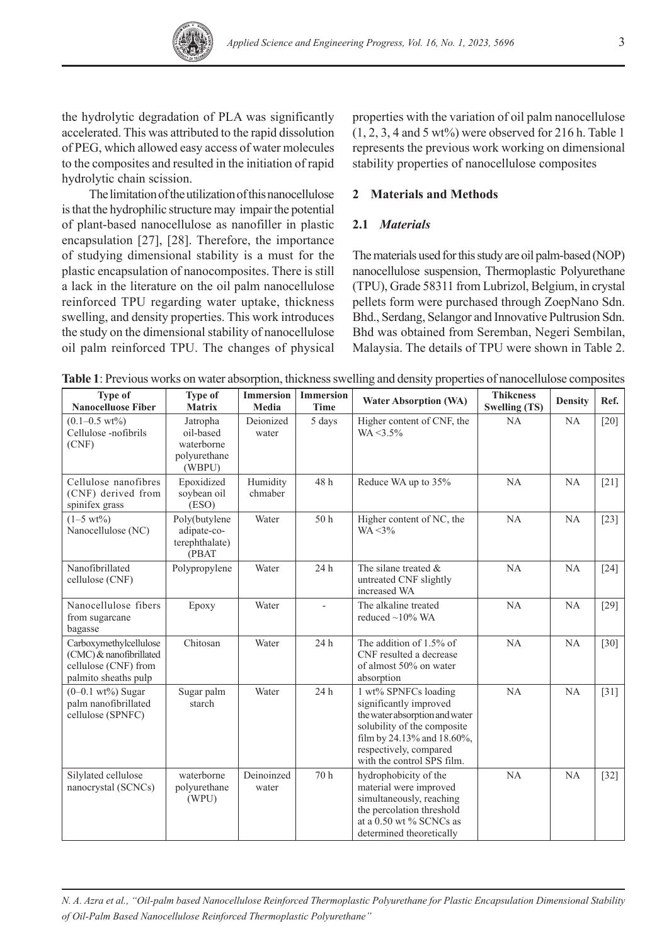

the hydrolytic degradation of PLA was significantly accelerated. This was attributed to the rapid dissolution of PEG, which allowed easy access of water molecules to the composites and resulted in the initiation of rapid hydrolytic chain scission.

The limitation of the utilization of this nanocellulose is that the hydrophilic structure may impair the potential of plant-based nanocellulose as nanofiller in plastic encapsulation [27], [28]. Therefore, the importance of studying dimensional stability is a must for the plastic encapsulation of nanocomposites. There is still a lack in the literature on the oil palm nanocellulose reinforced TPU regarding water uptake, thickness swelling, and density properties. This work introduces the study on the dimensional stability of nanocellulose oil palm reinforced TPU. The changes of physical properties with the variation of oil palm nanocellulose  $(1, 2, 3, 4$  and 5 wt%) were observed for 216 h. Table 1 represents the previous work working on dimensional stability properties of nanocellulose composites

## **2 Materials and Methods**

## **2.1** *Materials*

The materials used for this study are oil palm-based (NOP) nanocellulose suspension, Thermoplastic Polyurethane (TPU), Grade 58311 from Lubrizol, Belgium, in crystal pellets form were purchased through ZoepNano Sdn. Bhd., Serdang, Selangor and Innovative Pultrusion Sdn. Bhd was obtained from Seremban, Negeri Sembilan, Malaysia. The details of TPU were shown in Table 2.

| Type of<br><b>Nanocelluose Fiber</b>                                                              | Type of<br><b>Matrix</b>                                      | <b>Immersion</b><br>Media | <b>Immersion</b><br><b>Time</b> | <b>Water Absorption (WA)</b>                                                                                                                                                                          | <b>Thikcness</b><br><b>Swelling (TS)</b> | <b>Density</b> | Ref.               |
|---------------------------------------------------------------------------------------------------|---------------------------------------------------------------|---------------------------|---------------------------------|-------------------------------------------------------------------------------------------------------------------------------------------------------------------------------------------------------|------------------------------------------|----------------|--------------------|
| $(0.1 - 0.5 \text{ wt\%})$<br>Cellulose -nofibrils<br>(CNF)                                       | Jatropha<br>oil-based<br>waterborne<br>polyurethane<br>(WBPU) | Deionized<br>water        | 5 days                          | Higher content of CNF, the<br>$WA < 3.5\%$                                                                                                                                                            | NA                                       | NA             | $\lceil 20 \rceil$ |
| Cellulose nanofibres<br>(CNF) derived from<br>spinifex grass                                      | Epoxidized<br>soybean oil<br>(ESO)                            | Humidity<br>chmaber       | 48 h                            | Reduce WA up to 35%                                                                                                                                                                                   | NA                                       | NA             | $\lceil 21 \rceil$ |
| $(1-5 \text{ wt})$<br>Nanocellulose (NC)                                                          | Poly(butylene<br>adipate-co-<br>terephthalate)<br>(PBAT       | Water                     | 50 <sub>h</sub>                 | Higher content of NC, the<br>$WA < 3\%$                                                                                                                                                               | NA                                       | NA             | $[23]$             |
| Nanofibrillated<br>cellulose (CNF)                                                                | Polypropylene                                                 | Water                     | 24h                             | The silane treated $\&$<br>untreated CNF slightly<br>increased WA                                                                                                                                     | NA                                       | NA             | $[24]$             |
| Nanocellulose fibers<br>from sugarcane<br>bagasse                                                 | Epoxy                                                         | Water                     | $\mathbf{r}$                    | The alkaline treated<br>reduced $\sim$ 10% WA                                                                                                                                                         | NA                                       | NA             | $[29]$             |
| Carboxymethylcellulose<br>(CMC) & nanofibrillated<br>cellulose (CNF) from<br>palmito sheaths pulp | Chitosan                                                      | Water                     | 24h                             | The addition of 1.5% of<br>CNF resulted a decrease<br>of almost 50% on water<br>absorption                                                                                                            | NA                                       | NA             | $[30]$             |
| $(0-0.1 \text{ wt\%})$ Sugar<br>palm nanofibrillated<br>cellulose (SPNFC)                         | Sugar palm<br>starch                                          | Water                     | 24 h                            | 1 wt% SPNFCs loading<br>significantly improved<br>the water absorption and water<br>solubility of the composite<br>film by 24.13% and 18.60%,<br>respectively, compared<br>with the control SPS film. | NA                                       | NA             | $[31]$             |
| Silylated cellulose<br>nanocrystal (SCNCs)                                                        | waterborne<br>polyurethane<br>(WPU)                           | Deinoinzed<br>water       | 70 h                            | hydrophobicity of the<br>material were improved<br>simultaneously, reaching<br>the percolation threshold<br>at a $0.50$ wt % SCNCs as<br>determined theoretically                                     | NA                                       | NA             | $[32]$             |

**Table 1**: Previous works on water absorption, thickness swelling and density properties of nanocellulose composites

*N. A. Azra et al., "Oil-palm based Nanocellulose Reinforced Thermoplastic Polyurethane for Plastic Encapsulation Dimensional Stability of Oil-Palm Based Nanocellulose Reinforced Thermoplastic Polyurethane"*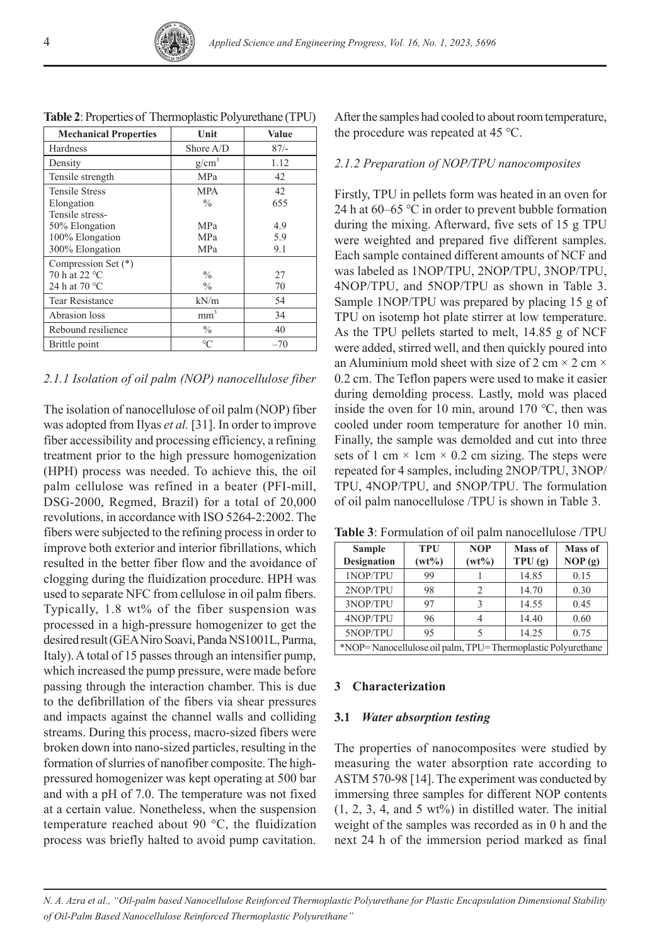| <b>Mechanical Properties</b> | Unit            | Value   |
|------------------------------|-----------------|---------|
| <b>Hardness</b>              | Shore A/D       | $87/$ - |
| Density                      | $g/cm^3$        | 1.12    |
| Tensile strength             | <b>MPa</b>      | 42      |
| <b>Tensile Stress</b>        | <b>MPA</b>      | 42      |
| Elongation                   | $\frac{0}{0}$   | 655     |
| Tensile stress-              |                 |         |
| 50% Elongation               | <b>MPa</b>      | 4.9     |
| 100% Elongation              | <b>MPa</b>      | 5.9     |
| 300% Elongation              | <b>MPa</b>      | 9.1     |
| Compression Set (*)          |                 |         |
| 70 h at 22 °C                | $\frac{0}{0}$   | 27      |
| 24 h at 70 $^{\circ}$ C      | $\frac{0}{0}$   | 70      |
| Tear Resistance              | kN/m            | 54      |
| Abrasion loss                | mm <sup>3</sup> | 34      |
| Rebound resilience           | $\frac{0}{0}$   | 40      |
| Brittle point                | $\rm ^{\circ}C$ | $-70$   |

**Table 2**: Properties of Thermoplastic Polyurethane (TPU)

### *2.1.1 Isolation of oil palm (NOP) nanocellulose fiber*

The isolation of nanocellulose of oil palm (NOP) fiber was adopted from Ilyas *et al.* [31]. In order to improve fiber accessibility and processing efficiency, a refining treatment prior to the high pressure homogenization (HPH) process was needed. To achieve this, the oil palm cellulose was refined in a beater (PFI-mill, DSG-2000, Regmed, Brazil) for a total of 20,000 revolutions, in accordance with ISO 5264-2:2002. The fibers were subjected to the refining process in order to improve both exterior and interior fibrillations, which resulted in the better fiber flow and the avoidance of clogging during the fluidization procedure. HPH was used to separate NFC from cellulose in oil palm fibers. Typically, 1.8 wt% of the fiber suspension was processed in a high-pressure homogenizer to get the desired result (GEA Niro Soavi, Panda NS1001L, Parma, Italy). A total of 15 passes through an intensifier pump, which increased the pump pressure, were made before passing through the interaction chamber. This is due to the defibrillation of the fibers via shear pressures and impacts against the channel walls and colliding streams. During this process, macro-sized fibers were broken down into nano-sized particles, resulting in the formation of slurries of nanofiber composite. The highpressured homogenizer was kept operating at 500 bar and with a pH of 7.0. The temperature was not fixed at a certain value. Nonetheless, when the suspension temperature reached about 90 °C, the fluidization process was briefly halted to avoid pump cavitation.

After the samples had cooled to about room temperature, the procedure was repeated at 45 ℃.

### *2.1.2 Preparation of NOP/TPU nanocomposites*

Firstly, TPU in pellets form was heated in an oven for 24 h at 60–65 ℃ in order to prevent bubble formation during the mixing. Afterward, five sets of 15 g TPU were weighted and prepared five different samples. Each sample contained different amounts of NCF and was labeled as 1NOP/TPU, 2NOP/TPU, 3NOP/TPU, 4NOP/TPU, and 5NOP/TPU as shown in Table 3. Sample 1NOP/TPU was prepared by placing 15 g of TPU on isotemp hot plate stirrer at low temperature. As the TPU pellets started to melt, 14.85 g of NCF were added, stirred well, and then quickly poured into an Aluminium mold sheet with size of 2 cm  $\times$  2 cm  $\times$ 0.2 cm. The Teflon papers were used to make it easier during demolding process. Lastly, mold was placed inside the oven for 10 min, around 170 ℃, then was cooled under room temperature for another 10 min. Finally, the sample was demolded and cut into three sets of 1 cm  $\times$  1cm  $\times$  0.2 cm sizing. The steps were repeated for 4 samples, including 2NOP/TPU, 3NOP/ TPU, 4NOP/TPU, and 5NOP/TPU. The formulation of oil palm nanocellulose /TPU is shown in Table 3.

**Table 3**: Formulation of oil palm nanocellulose /TPU

| <b>Sample</b><br><b>Designation</b>                         | <b>TPU</b><br>$(wt\%)$ | <b>NOP</b><br>$(wt\%)$ | Mass of<br>TPU(g) | Mass of<br>NOP(g) |  |  |
|-------------------------------------------------------------|------------------------|------------------------|-------------------|-------------------|--|--|
| 1NOP/TPU                                                    | 99                     |                        | 14.85             | 0.15              |  |  |
| 2NOP/TPU                                                    | 98                     | 2                      | 14.70             | 0.30              |  |  |
| 3NOP/TPU                                                    | 97                     | ζ                      | 14.55             | 0.45              |  |  |
| 4NOP/TPU                                                    | 96                     | 4                      | 14.40             | 0.60              |  |  |
| 5NOP/TPU                                                    | 95                     |                        | 14.25             | 0.75              |  |  |
| *NOP=Nanocellulose oil palm, TPU=Thermoplastic Polyurethane |                        |                        |                   |                   |  |  |

## **3 Characterization**

#### **3.1** *Water absorption testing*

The properties of nanocomposites were studied by measuring the water absorption rate according to ASTM 570-98 [14]. The experiment was conducted by immersing three samples for different NOP contents  $(1, 2, 3, 4, \text{ and } 5 \text{ wt\%})$  in distilled water. The initial weight of the samples was recorded as in 0 h and the next 24 h of the immersion period marked as final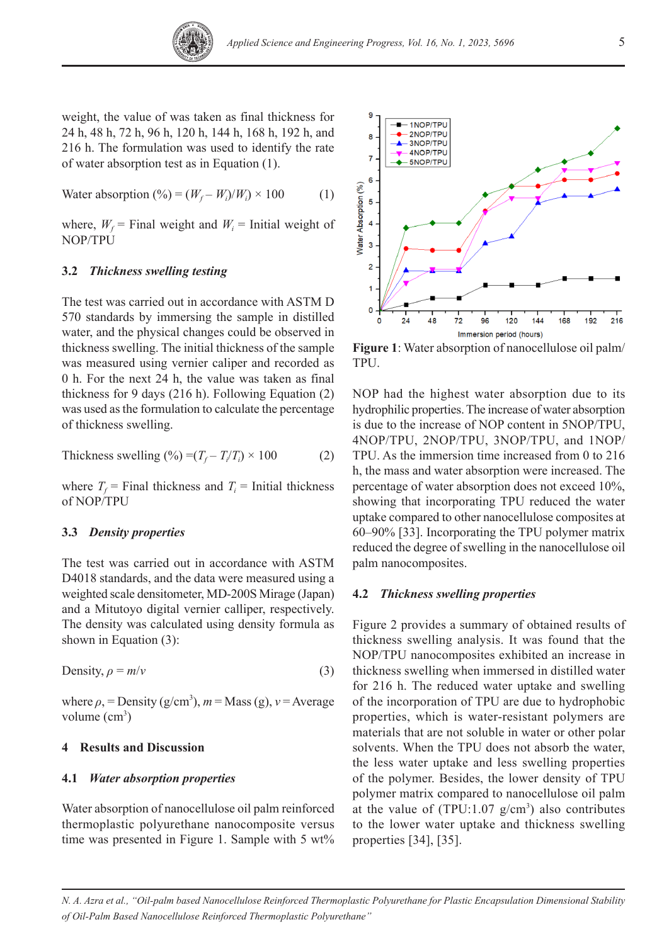

5

weight, the value of was taken as final thickness for 24 h, 48 h, 72 h, 96 h, 120 h, 144 h, 168 h, 192 h, and 216 h. The formulation was used to identify the rate of water absorption test as in Equation (1).

Water absorption  $(\%) = (W_f - W_i)/W_i \times 100$  (1)

where,  $W_f$  = Final weight and  $W_i$  = Initial weight of NOP/TPU

## **3.2** *Thickness swelling testing*

The test was carried out in accordance with ASTM D 570 standards by immersing the sample in distilled water, and the physical changes could be observed in thickness swelling. The initial thickness of the sample was measured using vernier caliper and recorded as 0 h. For the next 24 h, the value was taken as final thickness for 9 days (216 h). Following Equation (2) was used as the formulation to calculate the percentage of thickness swelling.

Thickness switching (
$$
\%
$$
) =  $(T_f - T_i/T_i) \times 100$  (2)

where  $T_f$  = Final thickness and  $T_i$  = Initial thickness of NOP/TPU

### **3.3** *Density properties*

The test was carried out in accordance with ASTM D4018 standards, and the data were measured using a weighted scale densitometer, MD-200S Mirage (Japan) and a Mitutoyo digital vernier calliper, respectively. The density was calculated using density formula as shown in Equation (3):

Density, 
$$
\rho = m/v
$$
 (3)

where  $\rho$ , = Density (g/cm<sup>3</sup>),  $m =$  Mass (g),  $v =$  Average volume (cm<sup>3</sup>)

#### **4 Results and Discussion**

#### **4.1** *Water absorption properties*

Water absorption of nanocellulose oil palm reinforced thermoplastic polyurethane nanocomposite versus time was presented in Figure 1. Sample with 5 wt%



**Figure 1**: Water absorption of nanocellulose oil palm/ TPU.

NOP had the highest water absorption due to its hydrophilic properties. The increase of water absorption is due to the increase of NOP content in 5NOP/TPU, 4NOP/TPU, 2NOP/TPU, 3NOP/TPU, and 1NOP/ TPU. As the immersion time increased from 0 to 216 h, the mass and water absorption were increased. The percentage of water absorption does not exceed 10%, showing that incorporating TPU reduced the water uptake compared to other nanocellulose composites at 60–90% [33]. Incorporating the TPU polymer matrix reduced the degree of swelling in the nanocellulose oil palm nanocomposites.

#### **4.2** *Thickness swelling properties*

Figure 2 provides a summary of obtained results of thickness swelling analysis. It was found that the NOP/TPU nanocomposites exhibited an increase in thickness swelling when immersed in distilled water for 216 h. The reduced water uptake and swelling of the incorporation of TPU are due to hydrophobic properties, which is water-resistant polymers are materials that are not soluble in water or other polar solvents. When the TPU does not absorb the water, the less water uptake and less swelling properties of the polymer. Besides, the lower density of TPU polymer matrix compared to nanocellulose oil palm at the value of  $(TPU:1.07 \text{ g/cm}^3)$  also contributes to the lower water uptake and thickness swelling properties [34], [35].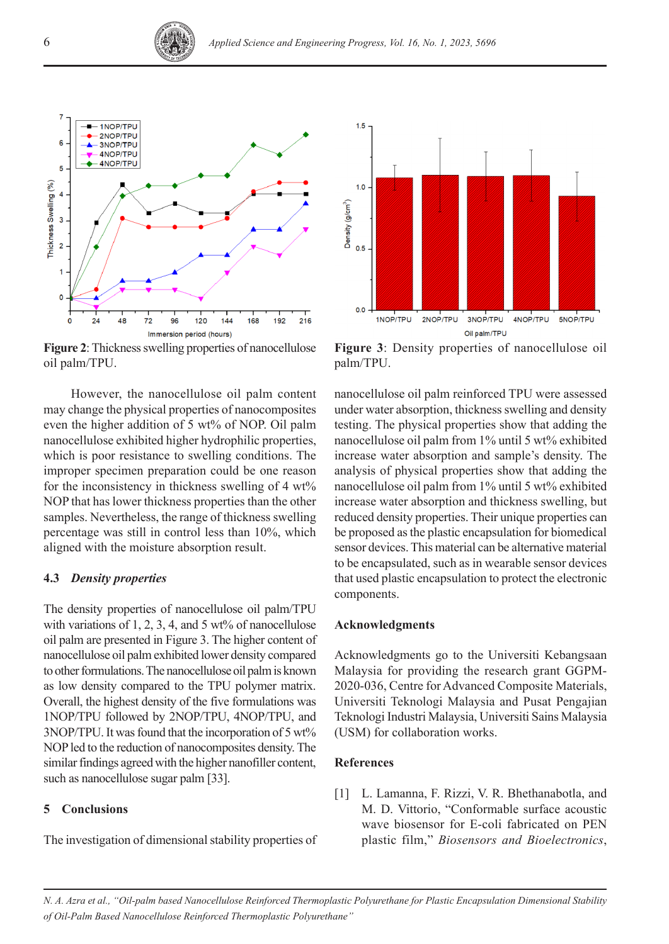



**Figure 2**: Thickness swelling properties of nanocellulose oil palm/TPU.

However, the nanocellulose oil palm content may change the physical properties of nanocomposites even the higher addition of 5 wt% of NOP. Oil palm nanocellulose exhibited higher hydrophilic properties, which is poor resistance to swelling conditions. The improper specimen preparation could be one reason for the inconsistency in thickness swelling of 4 wt% NOP that has lower thickness properties than the other samples. Nevertheless, the range of thickness swelling percentage was still in control less than 10%, which aligned with the moisture absorption result.

## **4.3** *Density properties*

The density properties of nanocellulose oil palm/TPU with variations of 1, 2, 3, 4, and 5 wt% of nanocellulose oil palm are presented in Figure 3. The higher content of nanocellulose oil palm exhibited lower density compared to other formulations. The nanocellulose oil palm is known as low density compared to the TPU polymer matrix. Overall, the highest density of the five formulations was 1NOP/TPU followed by 2NOP/TPU, 4NOP/TPU, and 3NOP/TPU. It was found that the incorporation of 5 wt% NOP led to the reduction of nanocomposites density. The similar findings agreed with the higher nanofiller content, such as nanocellulose sugar palm [33].

## **5 Conclusions**

The investigation of dimensional stability properties of



**Figure 3**: Density properties of nanocellulose oil palm/TPU.

nanocellulose oil palm reinforced TPU were assessed under water absorption, thickness swelling and density testing. The physical properties show that adding the nanocellulose oil palm from 1% until 5 wt% exhibited increase water absorption and sample's density. The analysis of physical properties show that adding the nanocellulose oil palm from 1% until 5 wt% exhibited increase water absorption and thickness swelling, but reduced density properties. Their unique properties can be proposed as the plastic encapsulation for biomedical sensor devices. This material can be alternative material to be encapsulated, such as in wearable sensor devices that used plastic encapsulation to protect the electronic components.

## **Acknowledgments**

Acknowledgments go to the Universiti Kebangsaan Malaysia for providing the research grant GGPM-2020-036, Centre for Advanced Composite Materials, Universiti Teknologi Malaysia and Pusat Pengajian Teknologi Industri Malaysia, Universiti Sains Malaysia (USM) for collaboration works.

#### **References**

[1] L. Lamanna, F. Rizzi, V. R. Bhethanabotla, and M. D. Vittorio, "Conformable surface acoustic wave biosensor for E-coli fabricated on PEN plastic film," *Biosensors and Bioelectronics*,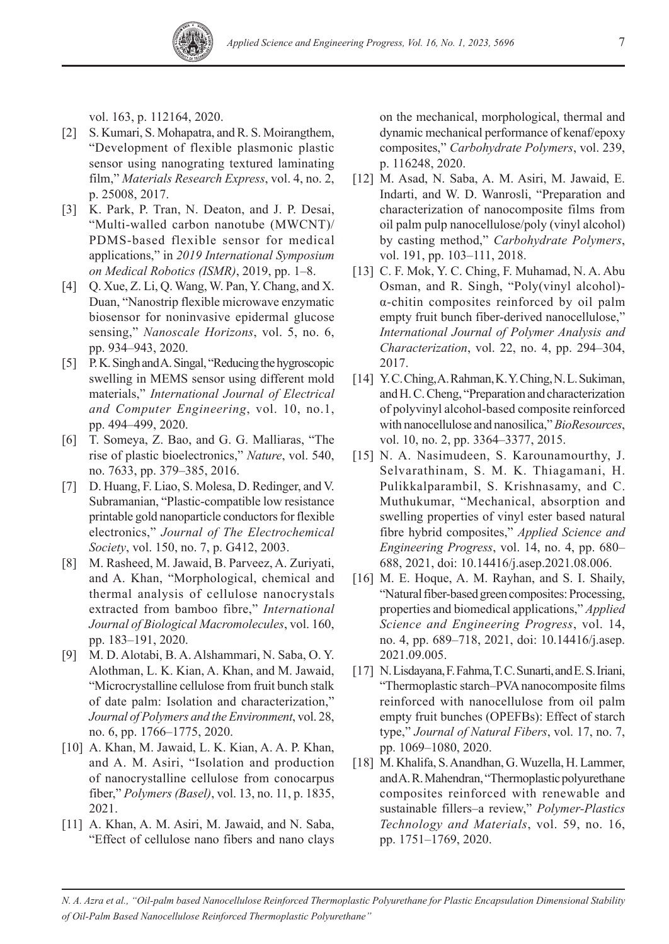vol. 163, p. 112164, 2020.

- [2] S. Kumari, S. Mohapatra, and R. S. Moirangthem, "Development of flexible plasmonic plastic sensor using nanograting textured laminating film," *Materials Research Express*, vol. 4, no. 2, p. 25008, 2017.
- [3] K. Park, P. Tran, N. Deaton, and J. P. Desai, "Multi-walled carbon nanotube (MWCNT)/ PDMS-based flexible sensor for medical applications," in *2019 International Symposium on Medical Robotics (ISMR)*, 2019, pp. 1–8.
- [4] Q. Xue, Z. Li, Q. Wang, W. Pan, Y. Chang, and X. Duan, "Nanostrip flexible microwave enzymatic biosensor for noninvasive epidermal glucose sensing," *Nanoscale Horizons*, vol. 5, no. 6, pp. 934–943, 2020.
- [5] P. K. Singh and A. Singal, "Reducing the hygroscopic swelling in MEMS sensor using different mold materials," *International Journal of Electrical and Computer Engineering*, vol. 10, no.1, pp. 494–499, 2020.
- [6] T. Someya, Z. Bao, and G. G. Malliaras, "The rise of plastic bioelectronics," *Nature*, vol. 540, no. 7633, pp. 379–385, 2016.
- [7] D. Huang, F. Liao, S. Molesa, D. Redinger, and V. Subramanian, "Plastic-compatible low resistance printable gold nanoparticle conductors for flexible electronics," *Journal of The Electrochemical Society*, vol. 150, no. 7, p. G412, 2003.
- [8] M. Rasheed, M. Jawaid, B. Parveez, A. Zuriyati, and A. Khan, "Morphological, chemical and thermal analysis of cellulose nanocrystals extracted from bamboo fibre," *International Journal of Biological Macromolecules*, vol. 160, pp. 183–191, 2020.
- [9] M. D. Alotabi, B. A. Alshammari, N. Saba, O. Y. Alothman, L. K. Kian, A. Khan, and M. Jawaid, "Microcrystalline cellulose from fruit bunch stalk of date palm: Isolation and characterization," *Journal of Polymers and the Environment*, vol. 28, no. 6, pp. 1766–1775, 2020.
- [10] A. Khan, M. Jawaid, L. K. Kian, A. A. P. Khan, and A. M. Asiri, "Isolation and production of nanocrystalline cellulose from conocarpus fiber," *Polymers (Basel)*, vol. 13, no. 11, p. 1835, 2021.
- [11] A. Khan, A. M. Asiri, M. Jawaid, and N. Saba, "Effect of cellulose nano fibers and nano clays

on the mechanical, morphological, thermal and dynamic mechanical performance of kenaf/epoxy composites," *Carbohydrate Polymers*, vol. 239, p. 116248, 2020.

- [12] M. Asad, N. Saba, A. M. Asiri, M. Jawaid, E. Indarti, and W. D. Wanrosli, "Preparation and characterization of nanocomposite films from oil palm pulp nanocellulose/poly (vinyl alcohol) by casting method," *Carbohydrate Polymers*, vol. 191, pp. 103–111, 2018.
- [13] C. F. Mok, Y. C. Ching, F. Muhamad, N. A. Abu Osman, and R. Singh, "Poly(vinyl alcohol) α-chitin composites reinforced by oil palm empty fruit bunch fiber-derived nanocellulose," *International Journal of Polymer Analysis and Characterization*, vol. 22, no. 4, pp. 294–304, 2017.
- [14] Y. C. Ching, A. Rahman, K. Y. Ching, N. L. Sukiman, and H. C. Cheng, "Preparation and characterization of polyvinyl alcohol-based composite reinforced with nanocellulose and nanosilica," *BioResources*, vol. 10, no. 2, pp. 3364–3377, 2015.
- [15] N. A. Nasimudeen, S. Karounamourthy, J. Selvarathinam, S. M. K. Thiagamani, H. Pulikkalparambil, S. Krishnasamy, and C. Muthukumar, "Mechanical, absorption and swelling properties of vinyl ester based natural fibre hybrid composites," *Applied Science and Engineering Progress*, vol. 14, no. 4, pp. 680– 688, 2021, doi: 10.14416/j.asep.2021.08.006.
- [16] M. E. Hoque, A. M. Rayhan, and S. I. Shaily, "Natural fiber-based green composites: Processing, properties and biomedical applications," *Applied Science and Engineering Progress*, vol. 14, no. 4, pp. 689–718, 2021, doi: 10.14416/j.asep. 2021.09.005.
- [17] N. Lisdayana, F. Fahma, T. C. Sunarti, and E. S. Iriani, "Thermoplastic starch–PVA nanocomposite films reinforced with nanocellulose from oil palm empty fruit bunches (OPEFBs): Effect of starch type," *Journal of Natural Fibers*, vol. 17, no. 7, pp. 1069–1080, 2020.
- [18] M. Khalifa, S. Anandhan, G. Wuzella, H. Lammer, and A. R. Mahendran, "Thermoplastic polyurethane composites reinforced with renewable and sustainable fillers–a review," *Polymer-Plastics Technology and Materials*, vol. 59, no. 16, pp. 1751–1769, 2020.

*N. A. Azra et al., "Oil-palm based Nanocellulose Reinforced Thermoplastic Polyurethane for Plastic Encapsulation Dimensional Stability of Oil-Palm Based Nanocellulose Reinforced Thermoplastic Polyurethane"*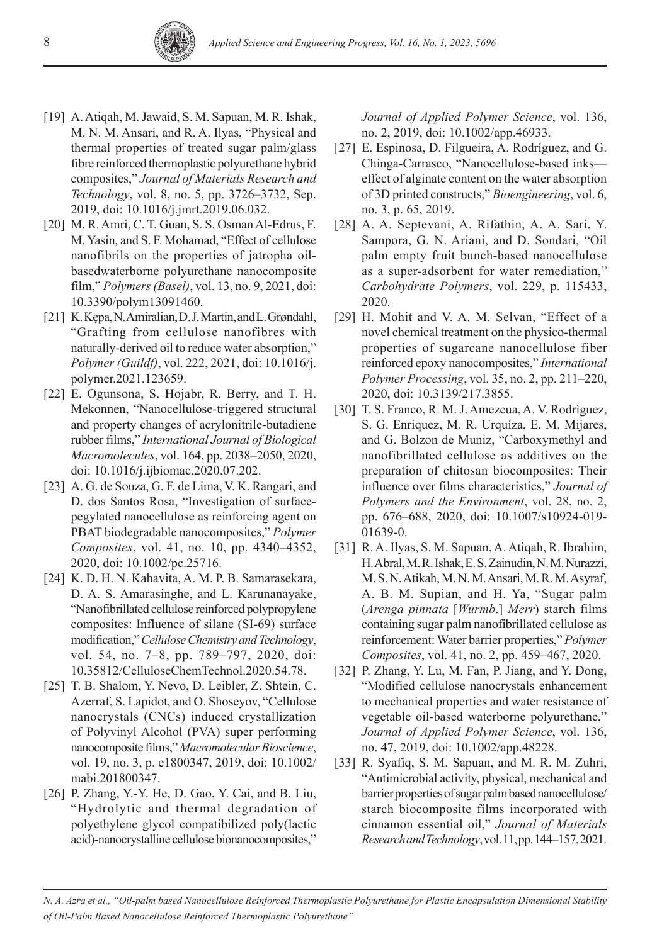- [19] A. Atiqah, M. Jawaid, S. M. Sapuan, M. R. Ishak, M. N. M. Ansari, and R. A. Ilyas, "Physical and thermal properties of treated sugar palm/glass fibre reinforced thermoplastic polyurethane hybrid composites," *Journal of Materials Research and Technology*, vol. 8, no. 5, pp. 3726–3732, Sep. 2019, doi: 10.1016/j.jmrt.2019.06.032.
- [20] M. R. Amri, C. T. Guan, S. S. Osman Al-Edrus, F. M. Yasin, and S. F. Mohamad, "Effect of cellulose nanofibrils on the properties of jatropha oilbasedwaterborne polyurethane nanocomposite film," *Polymers (Basel)*, vol. 13, no. 9, 2021, doi: 10.3390/polym13091460.
- [21] K. Kępa, N. Amiralian, D. J. Martin, and L. Grøndahl, "Grafting from cellulose nanofibres with naturally-derived oil to reduce water absorption," *Polymer (Guildf)*, vol. 222, 2021, doi: 10.1016/j. polymer.2021.123659.
- [22] E. Ogunsona, S. Hojabr, R. Berry, and T. H. Mekonnen, "Nanocellulose-triggered structural and property changes of acrylonitrile-butadiene rubber films," *International Journal of Biological Macromolecules*, vol. 164, pp. 2038–2050, 2020, doi: 10.1016/j.ijbiomac.2020.07.202.
- [23] A. G. de Souza, G. F. de Lima, V. K. Rangari, and D. dos Santos Rosa, "Investigation of surfacepegylated nanocellulose as reinforcing agent on PBAT biodegradable nanocomposites," *Polymer Composites*, vol. 41, no. 10, pp. 4340–4352, 2020, doi: 10.1002/pc.25716.
- [24] K. D. H. N. Kahavita, A. M. P. B. Samarasekara, D. A. S. Amarasinghe, and L. Karunanayake, "Nanofibrillated cellulose reinforced polypropylene composites: Influence of silane (SI-69) surface modification," *Cellulose Chemistry and Technology*, vol. 54, no. 7–8, pp. 789–797, 2020, doi: 10.35812/CelluloseChemTechnol.2020.54.78.
- [25] T. B. Shalom, Y. Nevo, D. Leibler, Z. Shtein, C. Azerraf, S. Lapidot, and O. Shoseyov, "Cellulose nanocrystals (CNCs) induced crystallization of Polyvinyl Alcohol (PVA) super performing nanocomposite films," *Macromolecular Bioscience*, vol. 19, no. 3, p. e1800347, 2019, doi: 10.1002/ mabi.201800347.
- [26] P. Zhang, Y.-Y. He, D. Gao, Y. Cai, and B. Liu, "Hydrolytic and thermal degradation of polyethylene glycol compatibilized poly(lactic acid)-nanocrystalline cellulose bionanocomposites,"

*Journal of Applied Polymer Science*, vol. 136, no. 2, 2019, doi: 10.1002/app.46933.

- [27] E. Espinosa, D. Filgueira, A. Rodríguez, and G. Chinga-Carrasco, "Nanocellulose-based inks effect of alginate content on the water absorption of 3D printed constructs," *Bioengineering*, vol. 6, no. 3, p. 65, 2019.
- [28] A. A. Septevani, A. Rifathin, A. A. Sari, Y. Sampora, G. N. Ariani, and D. Sondari, "Oil palm empty fruit bunch-based nanocellulose as a super-adsorbent for water remediation," *Carbohydrate Polymers*, vol. 229, p. 115433, 2020.
- [29] H. Mohit and V. A. M. Selvan, "Effect of a novel chemical treatment on the physico-thermal properties of sugarcane nanocellulose fiber reinforced epoxy nanocomposites," *International Polymer Processing*, vol. 35, no. 2, pp. 211–220, 2020, doi: 10.3139/217.3855.
- [30] T. S. Franco, R. M. J. Amezcua, A. V. Rodrìguez, S. G. Enriquez, M. R. Urquíza, E. M. Mijares, and G. Bolzon de Muniz, "Carboxymethyl and nanofibrillated cellulose as additives on the preparation of chitosan biocomposites: Their influence over films characteristics," *Journal of Polymers and the Environment*, vol. 28, no. 2, pp. 676–688, 2020, doi: 10.1007/s10924-019- 01639-0.
- [31] R. A. Ilyas, S. M. Sapuan, A. Atiqah, R. Ibrahim, H. Abral, M. R. Ishak, E. S. Zainudin, N. M. Nurazzi, M. S. N. Atikah, M. N. M. Ansari, M. R. M. Asyraf, A. B. M. Supian, and H. Ya, "Sugar palm (*Arenga pinnata* [*Wurmb*.] *Merr*) starch films containing sugar palm nanofibrillated cellulose as reinforcement: Water barrier properties," *Polymer Composites*, vol. 41, no. 2, pp. 459–467, 2020.
- [32] P. Zhang, Y. Lu, M. Fan, P. Jiang, and Y. Dong, "Modified cellulose nanocrystals enhancement to mechanical properties and water resistance of vegetable oil-based waterborne polyurethane," *Journal of Applied Polymer Science*, vol. 136, no. 47, 2019, doi: 10.1002/app.48228.
- [33] R. Syafiq, S. M. Sapuan, and M. R. M. Zuhri, "Antimicrobial activity, physical, mechanical and barrier properties of sugar palm based nanocellulose/ starch biocomposite films incorporated with cinnamon essential oil," *Journal of Materials Research and Technology*, vol. 11, pp. 144–157, 2021.